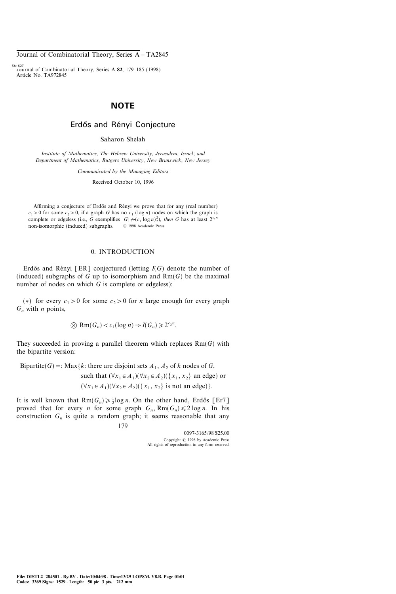## NOTE

### Erdős and Rényi Conjecture

Saharon Shelah

Institute of Mathematics, The Hebrew University, Jerusalem, Israel; and Department of Mathematics, Rutgers University, New Brunswick, New Jersey

Communicated by the Managing Editors

Received October 10, 1996

Affirming a conjecture of Erdős and Rényi we prove that for any (real number)  $c_1>0$  for some  $c_2>0$ , if a graph G has no  $c_1$  (log n) nodes on which the graph is complete or edgeless (i.e., G exemplifies  $|G| \rightarrow (c_1 \log n)_2^2$ ), then G has at least  $2^{c_2 n}$ non-isomorphic (induced) subgraphs.  $\circ$  1998 Academic Press

### 0. INTRODUCTION

Erdős and Rényi [ER] conjectured (letting  $I(G)$  denote the number of (induced) subgraphs of G up to isomorphism and  $Rm(G)$  be the maximal number of nodes on which  $G$  is complete or edgeless):

(\*) for every  $c_1>0$  for some  $c_2>0$  for *n* large enough for every graph  $G_n$  with *n* points,

$$
\bigotimes \text{Rm}(G_n) < c_1(\log n) \Rightarrow I(G_n) \geqslant 2^{c_2 n}.
$$

They succeeded in proving a parallel theorem which replaces  $Rm(G)$  with the bipartite version:

Bipartite(G) =: Max{k: there are disjoint sets  $A_1$ ,  $A_2$  of k nodes of G, such that  $(\forall x_1 \in A_1)(\forall x_2 \in A_2)(\{x_1, x_2\}$  an edge) or  $(\forall x_1 \in A_1)(\forall x_2 \in A_2)(\{x_1, x_2\} \text{ is not an edge})\}.$ 

It is well known that  $\text{Rm}(G_n) \ge \frac{1}{2} \log n$ . On the other hand, Erdős [Er7] proved that for every *n* for some graph  $G_n$ ,  $Rm(G_n) \leq 2 \log n$ . In his construction  $G_n$  is quite a random graph; it seems reasonable that any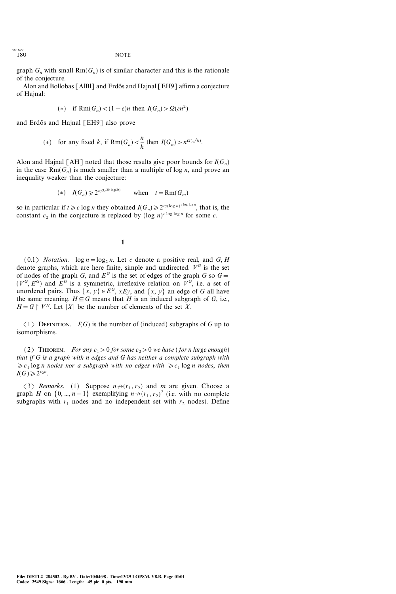graph  $G_n$  with small  $Rm(G_n)$  is of similar character and this is the rationale of the conjecture.

Alon and Bollobas [AlBl] and Erdős and Hajnal [EH9] affirm a conjecture of Hajnal:

(\*) if 
$$
\text{Rm}(G_n) < (1 - \varepsilon)n
$$
 then  $I(G_n) > \Omega(\varepsilon n^2)$ 

and Erdős and Hajnal [EH9] also prove

(\*) for any fixed k, if 
$$
\text{Rm}(G_n) < \frac{n}{k}
$$
 then  $I(G_n) > n^{\Omega(\sqrt{k})}$ .

Alon and Hajnal [AH] noted that those results give poor bounds for  $I(G_n)$ in the case  $Rm(G_n)$  is much smaller than a multiple of log *n*, and prove an inequality weaker than the conjecture:

$$
(*) \quad I(G_n) \geq 2^{n/2t^{20 \log(2t)}} \qquad \text{when} \quad t = \text{Rm}(G_m)
$$

so in particular if  $t \ge c \log n$  they obtained  $I(G_n) \ge 2^{n/(\log n)^{c \log \log n}}$ , that is, the constant  $c_2$  in the conjecture is replaced by  $(\log n)^{c \log \log n}$  for some c.

#### 1

 $\langle 0.1 \rangle$  *Notation.* log  $n = log_2 n$ . Let c denote a positive real, and G, H denote graphs, which are here finite, simple and undirected.  $V^G$  is the set of nodes of the graph G, and  $E^G$  is the set of edges of the graph G so  $G=$  $(V^G, E^G)$  and  $E^G$  is a symmetric, irreflexive relation on  $V^G$ , i.e. a set of unordered pairs. Thus  $\{x, y\} \in E^G$ ,  $xEy$ , and  $\{x, y\}$  an edge of G all have the same meaning.  $H \subseteq G$  means that H is an induced subgraph of G, i.e.,  $H=G \upharpoonright V^H$ . Let |X| be the number of elements of the set X.

 $\langle 1 \rangle$  DEFINITION. I(G) is the number of (induced) subgraphs of G up to isomorphisms.

 $\langle 2 \rangle$  THEOREM. For any  $c_1 > 0$  for some  $c_2 > 0$  we have (for n large enough) that if G is a graph with n edges and G has neither a complete subgraph with  $\geq c_1 \log n$  nodes nor a subgraph with no edges with  $\geq c_1 \log n$  nodes, then  $I(G)\geqslant 2^{c_2 n}.$ 

 $\langle 3 \rangle$  Remarks. (1) Suppose  $n \rightarrow (r_1, r_2)$  and m are given. Choose a graph H on  $\{0, ..., n-1\}$  exemplifying  $n \rightarrow (r_1, r_2)^2$  (i.e. with no complete subgraphs with  $r_1$  nodes and no independent set with  $r_2$  nodes). Define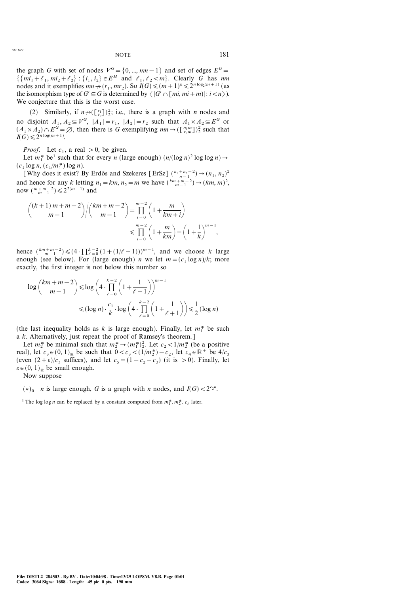the graph G with set of nodes  $V^G = \{0, ..., mn-1\}$  and set of edges  $E^G =$  $\{\{mi_1+\ell_1, mi_2+\ell_2\} : \{i_1, i_2\} \in E^H \text{ and } \ell_1, \ell_2 < m\}.$  Clearly G has nm nodes and it exemplifies  $mn \rightarrow (r_1, mr_2)$ . So  $I(G) \leq (m+1)^n \leq 2^{n \log_2(m+1)}$  (as the isomorphism type of  $G' \subseteq G$  is determined by  $\langle |G' \cap [mi, mi+m]|: i < n \rangle$ ). We conjecture that this is the worst case.

(2) Similarly, if  $n \rightarrow (\binom{r_1}{r_2})^2$ ; i.e., there is a graph with *n* nodes and no disjoint  $A_1, A_2 \subseteq V^G$ ,  $|A_1| = r_1$ ,  $|A_2| = r_2$  such that  $A_1 \times A_2 \subseteq E^G$  or  $(A_1 \times A_2) \cap E^{\tilde{G}} = \emptyset$ , then there is G exemplifying  $mn \to (\lfloor \frac{n_1m}{r_2m} \rfloor)^2$  such that  $I(G) \leq 2^{n \log(m+1)}.$ 

*Proof.* Let  $c_1$ , a real  $> 0$ , be given.

Let  $m_1^*$  be<sup>1</sup> such that for every *n* (large enough)  $(n/(\log n)^2 \log \log n) \rightarrow$  $(c_1 \log n, (c_1/m_1^*) \log n).$ 

[Why does it exist? By Erdős and Szekeres [ErSz]  $\binom{n_1+n_2-2}{n-1} \rightarrow (n_1, n_2)^2$ and hence for any k letting  $n_1 = km$ ,  $n_2 = m$  we have  $\binom{km+m-2}{m-1} \rightarrow (km, m)^2$ , now  $\binom{m+m-2}{m-1} \leq 2^{2(m-1)}$  and

$$
\binom{(k+1)m+m-2}{m-1} / \binom{km+m-2}{m-1} = \prod_{i=0}^{m-2} \left(1 + \frac{m}{km+i}\right)
$$
  

$$
\leq \prod_{i=0}^{m-2} \left(1 + \frac{m}{km}\right) = \left(1 + \frac{1}{k}\right)^{m-1},
$$

hence  $\binom{km+m-2}{m-1} \leq (4 \cdot \prod_{\ell=0}^{k-2} (1+(1/\ell+1)))^{m-1}$ , and we choose k large enough (see below). For (large enough) *n* we let  $m = (c_1 \log n)/k$ ; more exactly, the first integer is not below this number so

$$
\log {km+n-2 \choose m-1} \le \log \left(4 \cdot \prod_{\ell=0}^{k-2} \left(1 + \frac{1}{\ell+1}\right)\right)^{m-1}
$$
  

$$
\le (\log n) \cdot \frac{c_1}{k} \cdot \log \left(4 \cdot \prod_{\ell=0}^{k-2} \left(1 + \frac{1}{\ell+1}\right)\right) \le \frac{1}{2} (\log n)
$$

(the last inequality holds as k is large enough). Finally, let  $m_1^*$  be such a k. Alternatively, just repeat the proof of Ramsey's theorem.]

Let  $m_2^*$  be minimal such that  $m_2^* \rightarrow (m_1^*)_2^2$ . Let  $c_2 < 1/m_2^*$  (be a positive real), let  $c_3 \in (0, 1)_{\mathbb{R}}$  be such that  $0 < c_3 < (1/m_2^*) - c_2$ , let  $c_4 \in \mathbb{R}^+$  be  $4/c_3$ (even  $(2+\varepsilon)/c_3$  suffices), and let  $c_5=(1-c_2-c_3)$  (it is  $>0$ ). Finally, let  $\varepsilon \in (0, 1)_{\mathbb{R}}$  be small enough.

Now suppose

 $(*)_0$  *n* is large enough, *G* is a graph with *n* nodes, and  $I(G) < 2^{c_2 n}$ .

<sup>1</sup> The log log *n* can be replaced by a constant computed from  $m_1^*$ ,  $m_2^*$ ,  $c_\ell$  later.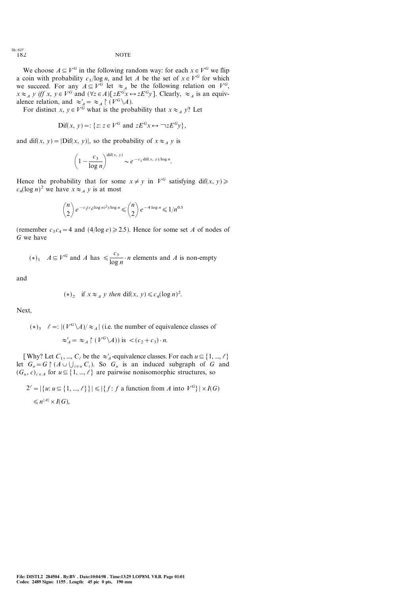We choose  $A \subseteq V^G$  in the following random way: for each  $x \in V^G$  we flip a coin with probability  $c_3/\log n$ , and let A be the set of  $x \in V^G$  for which we succeed. For any  $A \subseteq V^G$  let  $\approx_A$  be the following relation on  $V^G$ ,  $x \approx_A y$  iff x,  $y \in V^G$  and  $(\forall z \in A)[zE^Gx \leftrightarrow zE^Gy]$ . Clearly,  $\approx_A$  is an equivalence relation, and  $\approx_A' = \approx_A \upharpoonright (V^G \backslash A)$ .

For distinct x,  $y \in V^G$  what is the probability that  $x \approx_{\mathcal{A}} y$ ? Let

$$
\text{Dif}(x, y) =: \{ z \colon z \in V^G \text{ and } zE^G x \leftrightarrow \neg zE^G y \},
$$

and dif(x, y) =  $|\text{Diff}(x, y)|$ , so the probability of  $x \approx_A y$  is

$$
\left(1 - \frac{c_3}{\log n}\right)^{\text{diff}(x, y)} \sim e^{-c_3 \text{diff}(x, y)/\log n}.
$$

Hence the probability that for some  $x \neq y$  in  $V^G$  satisfying dif(x, y)  $\geq$  $c_4(\log n)^2$  we have  $x \approx_A y$  is at most

$$
\binom{n}{2} e^{-c_3(c_4(\log n)^2)/\log n} \leqslant \binom{n}{2} e^{-4\log n} \leqslant 1/n^{0.5}
$$

(remember  $c_3 c_4 = 4$  and  $(4/\log e) \ge 2.5$ ). Hence for some set A of nodes of G we have

$$
(*)_1
$$
  $A \subseteq V^G$  and A has  $\leq \frac{c_3}{\log n} \cdot n$  elements and A is non-empty

and

$$
(*)_2 \quad \text{if } x \approx_A y \text{ then } \text{dif}(x, y) \le c_4 (\log n)^2.
$$

Next,

 $(*)_3$   $\ell =: |(V^G \backslash A)| \approx_A |$  (i.e. the number of equivalence classes of  $\approx_A' = \approx_A \upharpoonright (V^G \setminus A))$  is  $\lt (c_2 + c_3) \cdot n$ .

[Why? Let  $C_1$ , ...,  $C_\ell$  be the  $\approx'_A$ -equivalence classes. For each  $u \subseteq \{1, ..., \ell\}$ let  $G_u = G \upharpoonright (A \cup \bigcup_{i \in u} C_i)$ . So  $G_u$  is an induced subgraph of G and  $(G_u, c)_{c \in A}$  for  $u \subseteq \{1, ..., \ell\}$  are pairwise nonisomorphic structures, so

$$
2^{\ell} = |\{u: u \subseteq \{1, ..., \ell\}\}| \le |\{f: f \text{ a function from } A \text{ into } V^G\}| \times I(G)
$$
  

$$
\le n^{|A|} \times I(G),
$$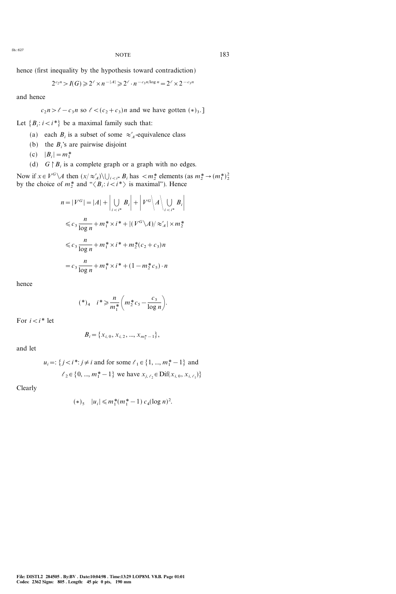$NOTE$  183

hence (first inequality by the hypothesis toward contradiction)

$$
2^{c_2 n} > I(G) \ge 2^{\ell} \times n^{-|A|} \ge 2^{\ell} \cdot n^{-c_3 n / \log n} = 2^{\ell} \times 2^{-c_3 n}
$$

and hence

$$
c_2 n > \ell - c_3 n
$$
 so  $\ell < (c_2 + c_3)n$  and we have gotten  $(*)_3$ .

Let  ${B_i : i < i^*}$  be a maximal family such that:

- (a) each  $B_i$  is a subset of some  $\approx_A^{\prime}$ -equivalence class
- (b) the  $B_i$ 's are pairwise disjoint
- (c)  $|B_i| = m_1^*$
- (d)  $G \upharpoonright B_i$  is a complete graph or a graph with no edges.

Now if  $x \in V^G \backslash A$  then  $(x/\approx_A') \backslash \bigcup_{i \leq i^*} B_i$  has  $\langle m_2^*$  elements (as  $m_2^* \rightarrow (m_1^*)^2$ ) by the choice of  $m_2^*$  and " $\langle B_i : i \langle i^* \rangle$  is maximal"). Hence

$$
n = |V^G| = |A| + \left| \bigcup_{i < i^*} B_i \right| + \left| V^G \right| A \Big| \bigcup_{i < i^*} B_i \Big|
$$
\n
$$
\leq c_3 \frac{n}{\log n} + m_1^* \times i^* + \left| (V^G \setminus A) \right| \approx'_A \left| \times m_2^* \right|
$$
\n
$$
\leq c_3 \frac{n}{\log n} + m_1^* \times i^* + m_2^*(c_2 + c_3)n
$$
\n
$$
= c_3 \frac{n}{\log n} + m_1^* \times i^* + (1 - m_2^* c_5) \cdot n
$$

hence

$$
(\ast)_4 \quad i \ast \geqslant \frac{n}{m_1^*} \bigg( m_2^* c_5 - \frac{c_3}{\log n} \bigg).
$$

For  $i < i^*$  let

$$
B_i = \{x_{i, 0}, x_{i, 2}, ..., x_{m_1^*-1}\},
$$

and let

$$
u_i =: \{ j < i^* : j \neq i \text{ and for some } \ell_1 \in \{ 1, ..., m_1^* - 1 \} \text{ and}
$$
\n
$$
\ell_2 \in \{ 0, ..., m_1^* - 1 \} \text{ we have } x_{j, \ell_2} \in \text{Diff}(x_{i, 0}, x_{i, \ell_1}) \}
$$

Clearly

$$
(*)_5 \quad |u_i| \le m_1^*(m_1^*-1) \ c_4(\log n)^2.
$$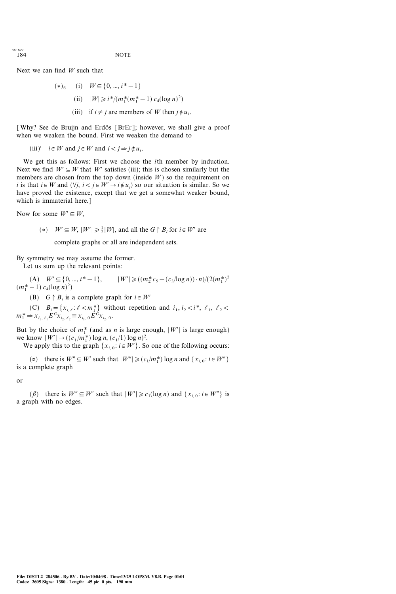Next we can find  $W$  such that

 $(*)$ <sub>6</sub> (i)  $W \subseteq \{0, ..., i^* -1\}$ (ii)  $|W| \ge i^*/(m_1^* (m_1^* - 1) c_4 (\log n)^2)$ (iii) if  $i \neq j$  are members of W then  $j \notin u_i$ .

[Why? See de Bruijn and Erdős [BrEr]; however, we shall give a proof when we weaken the bound. First we weaken the demand to

(iii)' 
$$
i \in W
$$
 and  $j \in W$  and  $i < j \Rightarrow j \notin u_i$ .

We get this as follows: First we choose the *i*th member by induction. Next we find  $W' \subseteq W$  that W' satisfies (iii); this is chosen similarly but the members are chosen from the top down (inside  $W$ ) so the requirement on i is that  $i \in W$  and  $(\forall j, i < j \in W' \rightarrow i \notin u_j)$  so our situation is similar. So we have proved the existence, except that we get a somewhat weaker bound, which is immaterial here.]

Now for some  $W \subseteq W$ ,

(\*) 
$$
W' \subseteq W
$$
,  $|W'| \ge \frac{1}{2}|W|$ , and all the  $G \upharpoonright B_i$  for  $i \in W'$  are

complete graphs or all are independent sets.

By symmetry we may assume the former.

Let us sum up the relevant points:

(A)  $W' \subseteq \{0, ..., i^* - 1\}, \qquad |W'| \geqslant ((m_2^* c_5 - (c_3/\log n)) \cdot n)/(2(m_1^*)^2)$  $(m_1^*-1) c_4(\log n)^2)$ 

(B)  $G \upharpoonright B_i$  is a complete graph for  $i \in W'$ 

(C)  $B_i = \{x_{i,\ell} : \ell < m_1^*\}$  without repetition and  $i_1, i_2 < i^*, \ell_1, \ell_2 < i$  $m_1^* \Rightarrow x_{i_1, \ell_1} E^G x_{i_2, \ell_2} \equiv x_{i_1, 0} E^G x_{i_2, 0}.$ 

But by the choice of  $m_1^*$  (and as *n* is large enough,  $|W'|$  is large enough) we know  $|W'| \rightarrow ((c_1/m_1^*) \log n, (c_1/1) \log n)^2$ .

We apply this to the graph  $\{x_{i,0} : i \in W'\}$ . So one of the following occurs:

( $\alpha$ ) there is  $W'' \subseteq W'$  such that  $|W''| \geqslant (c_1/m_1^*) \log n$  and  $\{x_{i,0} : i \in W''\}$ is a complete graph

or

( $\beta$ ) there is  $W'' \subseteq W'$  such that  $|W'| \ge c_1(\log n)$  and  $\{x_{i, 0} : i \in W''\}$  is a graph with no edges.